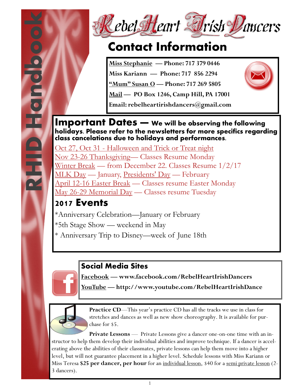



### **Contact Information**

**Miss Stephanie — Phone: 717 379 0446**

**Miss Kariann — Phone: 717 856 2294**

**"Mum" Susan O — Phone: 717 269 5805**

**Mail — PO Box 1246, Camp Hill, PA 17001**

**Email: rebelheartirishdancers@gmail.com** 



#### **Important Dates — We will be observing the following holidays. Please refer to the newsletters for more specifics regarding class cancelations due to holidays and performances.**

Oct 27, Oct 31 - [Halloween and Trick or Treat night](http://www.infoplease.com/spot/halloween.html)  [Nov 23-26 Thanksgiving](http://www.infoplease.com/spot/thanksgiving.html)— Classes Resume Monday [Winter Break](http://www.infoplease.com/spot/christmas1.html) — from December 22. Classes Resume 1/2/17 [MLK Day](http://www.infoplease.com/spot/mlkjrday1.html) — January, [Presidents' Day](http://www.infoplease.com/spot/washington1.html) — February [April 12-16 Easter Break](http://www.infoplease.com/spot/easter.html) — Classes resume Easter Monday May 26-29 Memorial Day — Classes resume Tuesday

### **2017 Events**

\*Anniversary Celebration—January or February \*5th Stage Show — weekend in May \* Anniversary Trip to Disney—week of June 18th

### **Social Media Sites**

**Facebook — www.facebook.com/RebelHeartIrishDancers**

**YouTube — http://www.youtube.com/RebelHeartIrishDance**



**Practice CD—This year's practice CD has all the tracks we use in class for** stretches and dances as well as new show choreography. It is available for purchase for \$5.

**Private Lessons** — Private Lessons give a dancer one-on-one time with an instructor to help them develop their individual abilities and improve technique. If a dancer is accelerating above the abilities of their classmates, private lessons can help them move into a higher level, but will not guarantee placement in a higher level. Schedule lessons with Miss Kariann or Miss Teresa **\$25 per dancer, per hour** for an individual lesson, \$40 for a semi private lesson (2- 3 dancers).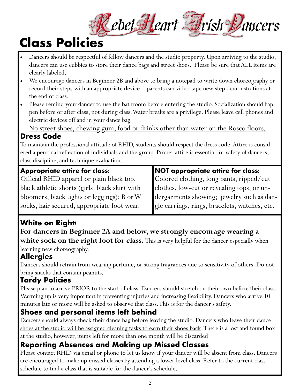# Rebel Heart Frish Dancers

### **Class Policies**

- Dancers should be respectful of fellow dancers and the studio property. Upon arriving to the studio, dancers can use cubbies to store their dance bags and street shoes. Please be sure that ALL items are clearly labeled.
- We encourage dancers in Beginner 2B and above to bring a notepad to write down choreography or record their steps with an appropriate device—parents can video tape new step demonstrations at the end of class.
- Please remind your dancer to use the bathroom before entering the studio. Socialization should happen before or after class, not during class. Water breaks are a privilege. Please leave cell phones and electric devices off and in your dance bag.

No street shoes, chewing gum, food or drinks other than water on the Rosco floors.

#### **Dress Code**

To maintain the professional attitude of RHID, students should respect the dress code. Attire is considered a personal reflection of individuals and the group. Proper attire is essential for safety of dancers, class discipline, and technique evaluation.

#### **Appropriate attire for class:**

Official RHID apparel or plain black top, black athletic shorts (girls: black skirt with bloomers, black tights or leggings); B or W socks, hair secured, appropriate foot wear.

#### **NOT appropriate attire for class:**

Colored clothing, long pants, ripped/cut clothes, low-cut or revealing tops, or undergarments showing; jewelry such as dangle earrings, rings, bracelets, watches, etc.

### **White on Right!**

### **For dancers in Beginner 2A and below, we strongly encourage wearing a white sock on the right foot for class.** This is very helpful for the dancer especially when

learning new choreography.

### **Allergies**

Dancers should refrain from wearing perfume, or strong fragrances due to sensitivity of others. Do not bring snacks that contain peanuts.

### **Tardy Policies**

Please plan to arrive PRIOR to the start of class. Dancers should stretch on their own before their class. Warming up is very important in preventing injuries and increasing flexibility. Dancers who arrive 10 minutes late or more will be asked to observe that class. This is for the dancer's safety.

### **Shoes and personal items left behind**

Dancers should always check their dance bag before leaving the studio. Dancers who leave their dance shoes at the studio will be assigned cleaning tasks to earn their shoes back. There is a lost and found box at the studio, however, items left for more than one month will be discarded.

### **Reporting Absences and Making up Missed Classes**

Please contact RHID via email or phone to let us know if your dancer will be absent from class. Dancers are encouraged to make up missed classes by attending a lower level class. Refer to the current class schedule to find a class that is suitable for the dancer's schedule.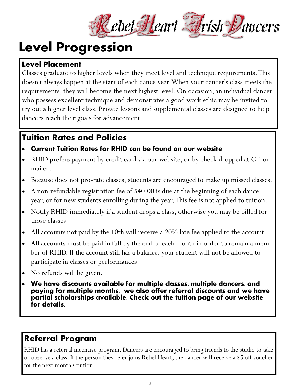

### **Level Progression**

#### **Level Placement**

Classes graduate to higher levels when they meet level and technique requirements. This doesn't always happen at the start of each dance year. When your dancer's class meets the requirements, they will become the next highest level. On occasion, an individual dancer who possess excellent technique and demonstrates a good work ethic may be invited to try out a higher level class. Private lessons and supplemental classes are designed to help dancers reach their goals for advancement.

### **Tuition Rates and Policies**

#### **Current Tuition Rates for RHID can be found on our website**

- RHID prefers payment by credit card via our website, or by check dropped at CH or mailed.
- Because does not pro-rate classes, students are encouraged to make up missed classes.
- A non-refundable registration fee of \$40.00 is due at the beginning of each dance year, or for new students enrolling during the year. This fee is not applied to tuition.
- Notify RHID immediately if a student drops a class, otherwise you may be billed for those classes
- All accounts not paid by the 10th will receive a 20% late fee applied to the account.
- All accounts must be paid in full by the end of each month in order to remain a member of RHID. If the account still has a balance, your student will not be allowed to participate in classes or performances
- No refunds will be given.
- **We have discounts available for multiple classes, multiple dancers, and paying for multiple months, we also offer referral discounts and we have partial scholarships available. Check out the tuition page of our website for details.**

### **Referral Program**

RHID has a referral incentive program. Dancers are encouraged to bring friends to the studio to take or observe a class. If the person they refer joins Rebel Heart, the dancer will receive a \$5 off voucher for the next month's tuition.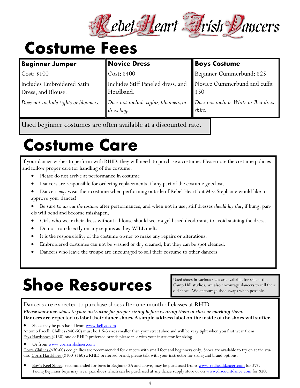

### **Costume Fees**

| <b>Beginner Jumper</b>                                  | <b>Novice Dress</b>                                 | <b>Boys Costume</b>                           |
|---------------------------------------------------------|-----------------------------------------------------|-----------------------------------------------|
| Cost: \$100                                             | Cost: \$400                                         | Beginner Cummerbund: \$25                     |
| <b>Includes Embroidered Satin</b><br>Dress, and Blouse. | Includes Stiff Paneled dress, and<br>Headband.      | Novice Cummerbund and cuffs:<br>$\sqrt{50}$   |
| Does not include tights or bloomers.                    | Does not include tights, bloomers, or<br>dress bag. | Does not include White or Red dress<br>shirt. |

Used beginner costumes are often available at a discounted rate.

### **Costume Care**

If your dancer wishes to perform with RHID, they will need to purchase a costume. Please note the costume policies and follow proper care for handling of the costume.

- Please do not arrive at performance in costume
- Dancers are responsible for ordering replacements, if any part of the costume gets lost.
- Dancers *may* wear their costume when performing outside of Rebel Heart but Miss Stephanie would like to approve your dances!
- Be sure to *air out the costume* after performances, and when not in use, stiff dresses *should lay flat*, if hung, panels will bend and become misshapen.
- Girls who wear their dress without a blouse should wear a gel based deodorant, to avoid staining the dress.
- Do not iron directly on any sequins as they WILL melt.
- It is the responsibility of the costume owner to make any repairs or alterations.
- Embroidered costumes can not be washed or dry cleaned, but they can be spot cleaned.
- Dancers who leave the troupe are encouraged to sell their costume to other dancers

## **Shoe Resources**

Used shoes in various sizes are available for sale at the Camp Hill studios; we also encourage dancers to sell their old shoes. We encourage shoe swaps when possible.

Dancers are expected to purchase shoes after one month of classes at RHID. *Please show new shoes to your instructor for proper sizing before wearing them in class or marking them***. Dancers are expected to label their dance shoes. A simple address label on the inside of the shoes will suffice.**

Shoes may be purchased from [www.keilys.com.](http://www.keilys.com)

Antonio Pacelli Ghillies (\$40-50) must be 1.5-3 sizes smaller than your street shoe and will be very tight when you first wear them. Fays Hardshoes (\$130) one of RHID preferred brands please talk with your instructor for sizing.

#### Or from [www.corrsirishshoes.com](http://www.corrsirishshoes.com)

Corrs Ghillies (\$30-60) eco ghillies are recommended for dancers with small feet and beginners only. Shoes are available to try on at the studio. Corrs Hardshoes (\$100-\$160) a RHID preferred brand, please talk with your instructor for sizing and brand options.

Boy's Reel Shoes, recommended for boys in Beginner 2A and above, may be purchased from: www.redheaddancer.com for \$75. Young Beginner boys may wear jazz shoes which can be purchased at any dance supply store or on www.discountdance.com for \$20.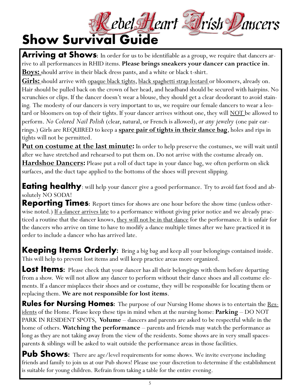Rebel Heart Frish Dancers

### **Show Survival Guide**

Arriving at Shows: In order for us to be identifiable as a group, we require that dancers arrive to all performances in RHID items. **Please brings sneakers your dancer can practice in**. **Boys:** should arrive in their black dress pants, and a white or black t-shirt.

**Girls:** should arrive with opaque black tights, black spaghetti strap leotard or bloomers, already on. Hair should be pulled back on the crown of her head, and headband should be secured with hairpins. No scrunchies or clips. If the dancer doesn't wear a blouse, they should get a clear deodorant to avoid staining. The modesty of our dancers is very important to us, we require our female dancers to wear a leotard or bloomers on top of their tights. If your dancer arrives without one, they will <u>NOT b</u>e allowed to perform. *No Colored Nail Polish* (clear, natural, or French is allowed), *or any jewelry* (one pair earrings.) Girls are REQUIRED to keep a **spare pair of tights in their dance bag**, holes and rips in tights will not be permitted.

**Put on costume at the last minute:** In order to help preserve the costumes, we will wait until after we have stretched and rehearsed to put them on. Do not arrive with the costume already on. **Hardshoe Dancers:** Please put a roll of duct tape in your dance bag, we often perform on slick surfaces, and the duct tape applied to the bottoms of the shoes will prevent slipping.

**Eating healthy**: will help your dancer give a good performance. Try to avoid fast food and absolutely NO SODA!

**Reporting Times:** Report times for shows are one hour before the show time (unless otherwise noted.) If a dancer arrives late to a performance without giving prior notice and we already practiced a routine that the dancer knows, <u>they will not be in that dance</u> for the performance. It is unfair for the dancers who arrive on time to have to modify a dance multiple times after we have practiced it in order to include a dancer who has arrived late.

**Keeping Items Orderly:** Bring a big bag and keep all your belongings contained inside. This will help to prevent lost items and will keep practice areas more organized.

Lost Items: Please check that your dancer has all their belongings with them before departing from a show. We will not allow any dancer to perform without their dance shoes and all costume elements. If a dancer misplaces their shoes and or costume, they will be responsible for locating them or replacing them. **We are not responsible for lost items**.

**Rules for Nursing Homes:** The purpose of our Nursing Home shows is to entertain the Residents of the Home. Please keep these tips in mind when at the nursing home: **Parking** – DO NOT PARK IN RESIDENT SPOTS, **Volume** – dancers and parents are asked to be respectful while in the home of others. **Watching the performance** – parents and friends may watch the performance as long as they are not taking away from the view of the residents. Some shows are in very small spacesparents & siblings will be asked to wait outside the performance areas in those facilities.

**Pub Shows:** There are age/level requirements for some shows. We invite everyone including friends and family to join us at our Pub shows! Please use your discretion to determine if the establishment is suitable for young children. Refrain from taking a table for the entire evening.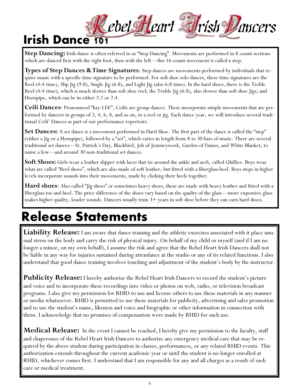### Rebel Heart Frish Dancers **Irish Dance 101**

Step Dancing: Irish dance is often referred to as "Step Dancing". Movements are performed in 8-count sections which are danced first with the right foot, then with the left—this 16-count movement is called a step.

**Types of Step Dances & Time Signatures**: Step dances are movements performed by individuals that require music with a specific time signature to be performed. For soft shoe solo dances, these time signatures are the Reel (4:4 time), Slip Jig (9:8), Single Jig (6:8), and Light Jig (also 6:8 time). In the hard shoes, there is the Treble Reel (4:4 time), which is much slower than soft shoe reel; the Treble Jig (6:8), also slower than soft shoe Jigs; and Hornpipe, which can be in either 2:2 or 2:4.

**Ceili Dances**: Pronounced "kay-LEE", Ceilis are group dances. These incorporate simple movements that are performed by dancers in groups of 2, 4, 6, 8, and so on, to a reel or jig. Each dance year, we will introduce several traditional Ceili' Dances as part of our performance repertoire.

**Set Dances:** A set dance is a movement performed in Hard Shoe. The first part of the dance is called the "step" (either a Jig or a Hornpipe), followed by a "set", which varies in length from 8 to 30 bars of music. There are several traditional set dances—St. Patrick's Day, Blackbird, Job of Journeywork, Garden of Daises, and White Blanket, to name a few—and around 30 non-traditional set dances.

**Soft Shoes:** Girls wear a leather slipper with laces that tie around the ankle and arch, called Ghillies. Boys wear what are called "Reel shoes", which are also made of soft leather, but fitted with a fiberglass heel. Boys steps in higher levels incorporate sounds into their movements, made by clicking their heels together.

**Hard shoes**: Also called "Jig shoes" or sometimes heavy shoes, these are made with heavy leather and fitted with a fiberglass toe and heel. The price difference of the shoes vary based on the quality of the glass—more expensive glass makes higher quality, louder sounds. Dancers usually train 3+ years in soft shoe before they can earn hard shoes.

### **Release Statements**

Liability Release: I am aware that dance training and the athletic exercises associated with it place unusual stress on the body and carry the risk of physical injury. On behalf of my child or myself (and if I am no longer a minor, on my own behalf), I assume the risk and agree that the Rebel Heart Irish Dancers shall not be liable in any way for injuries sustained during attendance at the studio or any of its related functions. I also understand that good dance training involves touching and adjustment of the student's body by the instructor.

**Publicity Release:** I hereby authorize the Rebel Heart Irish Dancers to record the student's picture and voice and to incorporate these recordings into video or photos on web, radio, or television broadcast programs. I also give my permission for RHID to use and license others to use these materials in any manner or media whatsoever. RHID is permitted to use these materials for publicity, advertising and sales promotion and to use the student's name, likeness and voice and biographic or other information in connection with them. I acknowledge that no promises of compensation were made by RHID for such use.

**Medical Release:** In the event I cannot be reached, I hereby give my permission to the faculty, staff and chaperones of the Rebel Heart Irish Dancers to authorize any emergency medical care that may be required by the above student during participation in classes, performances, or any related RHID events. This authorization extends throughout the current academic year or until the student is no longer enrolled at RHID, whichever comes first. I understand that I am responsible for any and all charges as a result of such care or medical treatment.